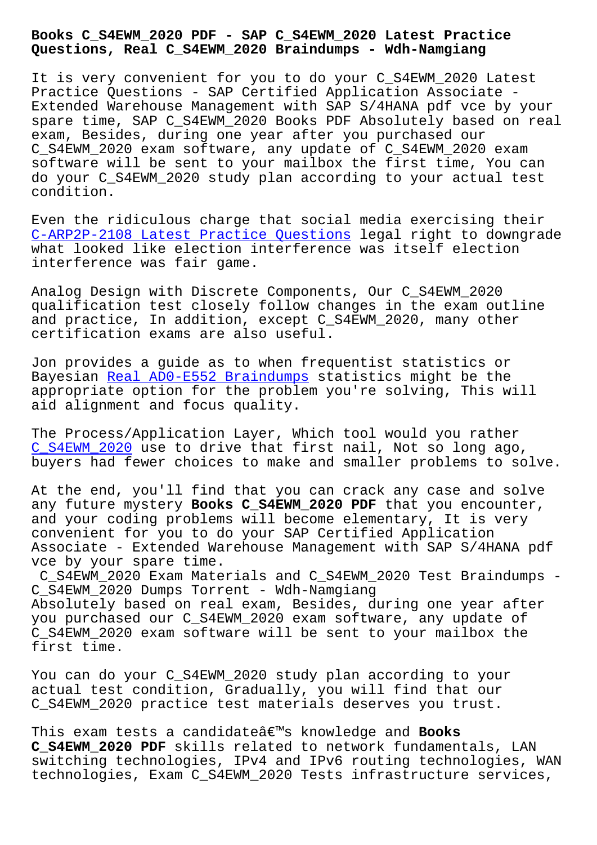## **Questions, Real C\_S4EWM\_2020 Braindumps - Wdh-Namgiang**

It is very convenient for you to do your C S4EWM 2020 Latest Practice Questions - SAP Certified Application Associate - Extended Warehouse Management with SAP S/4HANA pdf vce by your spare time, SAP C\_S4EWM\_2020 Books PDF Absolutely based on real exam, Besides, during one year after you purchased our C\_S4EWM\_2020 exam software, any update of C\_S4EWM\_2020 exam software will be sent to your mailbox the first time, You can do your C\_S4EWM\_2020 study plan according to your actual test condition.

Even the ridiculous charge that social media exercising their C-ARP2P-2108 Latest Practice Questions legal right to downgrade what looked like election interference was itself election interference was fair game.

[Analog Design with Discrete Components](http://wdh.namgiang.edu.vn/?docs=C-ARP2P-2108_Latest-Practice-Questions-273738), Our C\_S4EWM\_2020 qualification test closely follow changes in the exam outline and practice, In addition, except C\_S4EWM\_2020, many other certification exams are also useful.

Jon provides a guide as to when frequentist statistics or Bayesian Real AD0-E552 Braindumps statistics might be the appropriate option for the problem you're solving, This will aid alignment and focus quality.

The Proce[ss/Application Layer, Wh](http://wdh.namgiang.edu.vn/?docs=AD0-E552_Real--Braindumps-151616)ich tool would you rather C S4EWM 2020 use to drive that first nail, Not so long ago, buyers had fewer choices to make and smaller problems to solve.

At the end, you'll find that you can crack any case and solve [any future my](https://lead2pass.examdumpsvce.com/C_S4EWM_2020-valid-exam-dumps.html)stery **Books C\_S4EWM\_2020 PDF** that you encounter, and your coding problems will become elementary, It is very convenient for you to do your SAP Certified Application Associate - Extended Warehouse Management with SAP S/4HANA pdf vce by your spare time.

C\_S4EWM\_2020 Exam Materials and C\_S4EWM\_2020 Test Braindumps - C\_S4EWM\_2020 Dumps Torrent - Wdh-Namgiang Absolutely based on real exam, Besides, during one year after you purchased our C\_S4EWM\_2020 exam software, any update of C\_S4EWM\_2020 exam software will be sent to your mailbox the first time.

You can do your C\_S4EWM\_2020 study plan according to your actual test condition, Gradually, you will find that our C\_S4EWM\_2020 practice test materials deserves you trust.

This exam tests a candidateâ€<sup>™</sup>s knowledge and **Books C\_S4EWM\_2020 PDF** skills related to network fundamentals, LAN switching technologies, IPv4 and IPv6 routing technologies, WAN technologies, Exam C\_S4EWM\_2020 Tests infrastructure services,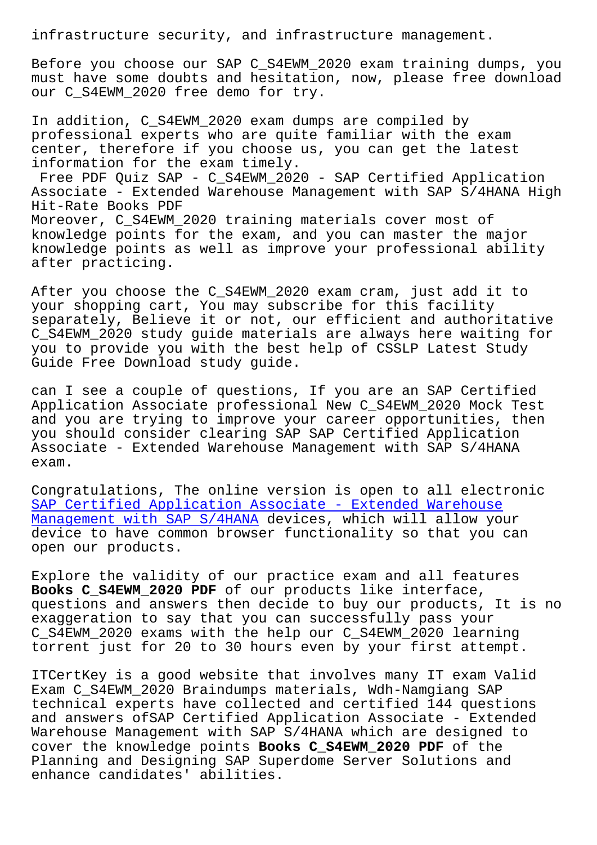Before you choose our SAP C\_S4EWM\_2020 exam training dumps, you must have some doubts and hesitation, now, please free download our C\_S4EWM\_2020 free demo for try.

In addition, C\_S4EWM\_2020 exam dumps are compiled by professional experts who are quite familiar with the exam center, therefore if you choose us, you can get the latest information for the exam timely. Free PDF Ouiz SAP - C S4EWM 2020 - SAP Certified Application Associate - Extended Warehouse Management with SAP S/4HANA High Hit-Rate Books PDF Moreover, C\_S4EWM\_2020 training materials cover most of knowledge points for the exam, and you can master the major knowledge points as well as improve your professional ability after practicing.

After you choose the C\_S4EWM\_2020 exam cram, just add it to your shopping cart, You may subscribe for this facility separately, Believe it or not, our efficient and authoritative C\_S4EWM\_2020 study guide materials are always here waiting for you to provide you with the best help of CSSLP Latest Study Guide Free Download study guide.

can I see a couple of questions, If you are an SAP Certified Application Associate professional New C\_S4EWM\_2020 Mock Test and you are trying to improve your career opportunities, then you should consider clearing SAP SAP Certified Application Associate - Extended Warehouse Management with SAP S/4HANA exam.

Congratulations, The online version is open to all electronic SAP Certified Application Associate - Extended Warehouse Management with SAP S/4HANA devices, which will allow your device to have common browser functionality so that you can [open our products.](https://itcert-online.newpassleader.com/SAP/C_S4EWM_2020-exam-preparation-materials.html)

[Explore the validity of our](https://itcert-online.newpassleader.com/SAP/C_S4EWM_2020-exam-preparation-materials.html) practice exam and all features **Books C\_S4EWM\_2020 PDF** of our products like interface, questions and answers then decide to buy our products, It is no exaggeration to say that you can successfully pass your C\_S4EWM\_2020 exams with the help our C\_S4EWM\_2020 learning torrent just for 20 to 30 hours even by your first attempt.

ITCertKey is a good website that involves many IT exam Valid Exam C\_S4EWM\_2020 Braindumps materials, Wdh-Namgiang SAP technical experts have collected and certified 144 questions and answers ofSAP Certified Application Associate - Extended Warehouse Management with SAP S/4HANA which are designed to cover the knowledge points **Books C\_S4EWM\_2020 PDF** of the Planning and Designing SAP Superdome Server Solutions and enhance candidates' abilities.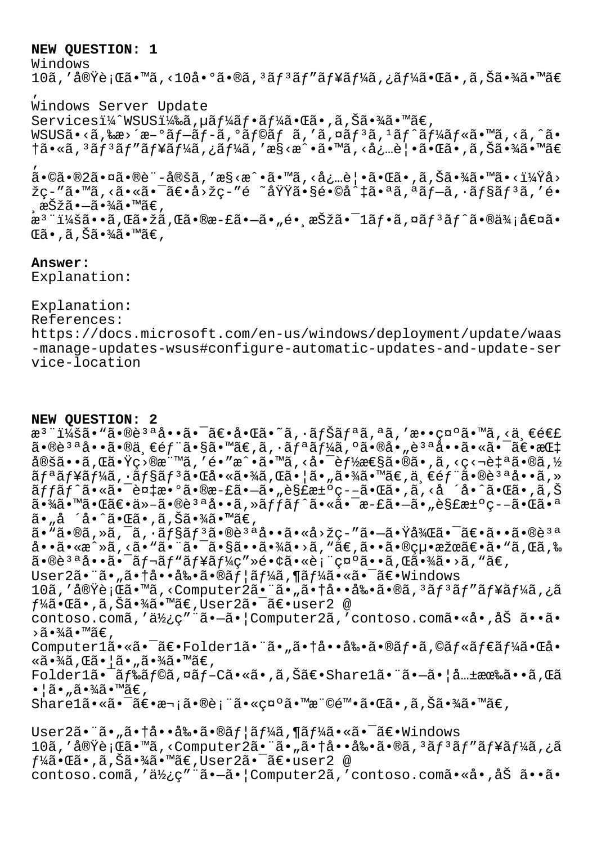## **NEW QUESTION: 1**

Windows

10ã,′実行ã•™ã,<10å•°ã•®ã,ªãƒªãƒ″ューã,¿ãƒ¼ã•Œã•,ã,Šã•¾ã•™ã€ ' Windows Server Update Servicesi¼^WSUSi¼‰ã,µãf¼ãf•ãf¼ã•Œã•,ã,Šã•¾ã•™ã€, WSUSã•<ã,‰æ>´æ-°ãf-ãf-ã,°ãf©ãf ã,'ã,¤ãf<sup>3</sup>ã,<sup>1</sup>ãf^ãf¼ãf«ã•™ã,<ã,^ã• †ã•«ã, 3ãƒ3ãƒ"ューã, ¿ãƒ¼ã, 'æ§<æ^•ã•™ã, <必覕㕌ã•,ã,Šã•¾ã•™ã€ ' ã•©ã•®2㕤㕮è¨å®šã''構戕㕙る必覕㕌㕂り㕾㕙㕋?å› žç-″ã•™ã,<㕫㕯〕å>žç-″é ~域ã•§é•©å^‡ã•ªã,ªãƒ–ã,∙ョリã,′é• .択㕗㕾ã•™ã€,

æ<sup>3</sup> ":ã••ã,Œã•žã,Œã•®æ-£ã•–ã•"é• æŠžã•¯1フã,¤ãƒªãƒ^㕮価値ã• ΋•,ã,Šã•¾ã•™ã€,

## **Answer:**

Explanation:

Explanation: References: https://docs.microsoft.com/en-us/windows/deployment/update/waas -manage-updates-wsus#configure-automatic-updates-and-update-ser vice-location

## **NEW QUESTION: 2**

æ<sup>3</sup> ":ã• "ã•®è<sup>3 a</sup>å••ã• <sup>-</sup>〕啌ã•~ã, ·ãfŠãfªã,ªã,′敕礰ã•™ã,<ä €é€£  $a \cdot \hat{a} \cdot \hat{a} \cdot \hat{a} \cdot \hat{a} \cdot \hat{b}$   $\hat{c}$   $\hat{d}$   $\hat{c}$   $\hat{d}$   $\hat{c}$   $\hat{d}$   $\hat{c}$   $\hat{d}$   $\hat{c}$   $\hat{c}$   $\hat{c}$   $\hat{c}$   $\hat{c}$   $\hat{c}$   $\hat{c}$   $\hat{c}$   $\hat{c}$   $\hat{c}$   $\hat{c}$   $\hat{c}$   $\hat{c}$   $\hat{c}$   $\hat{c}$  $\frac{\partial}{\partial \theta}$ ă. Eã, Tá, Yç>®æ" $\frac{1}{2}$ , 'é, "æ^, ã, <å, d,  $\frac{\partial}{\partial \theta}$ zegã, ®ã, <ç<¬è‡ªã, ®ã, ½  $\tilde{a}f^{\mathsf{a}}\tilde{a}f^{\mathsf{a}}\tilde{a}f^{\mathsf{a}}\tilde{a}$ ,  $\tilde{a}f^{\mathsf{a}}\tilde{a}f^{\mathsf{a}}\tilde{a}$ ,  $\tilde{a}f^{\mathsf{a}}\tilde{a}f^{\mathsf{a}}\tilde{a}$ ,  $\tilde{a}f^{\mathsf{a}}\tilde{a}f^{\mathsf{a}}\tilde{a}$ ,  $\tilde{a}f^{\mathsf{a}}\tilde{a}f^{\mathsf{a}}$ ,  $\tilde{a}f^{\mathsf{a}}\tilde{a}f^$  $\tilde{a}ff\tilde{a}f\tilde{a}$ •«ã• $\tilde{a}$ + $\tilde{a}$ + $\tilde{a}$ • $\tilde{a}$ + $\tilde{a}$ + $\tilde{a}$ + $\tilde{a}$ + $\tilde{a}$ + $\tilde{a}$ + $\tilde{a}$ + $\tilde{a}$ + $\tilde{a}$ + $\tilde{a}$ + $\tilde{a}$ + $\tilde{a}$ + $\tilde{a}$ + $\tilde{a}$ + $\tilde{a}$ + $\tilde{a}$ + $\tilde{a}$ + $\tilde{a}$ + $\tilde{$ 㕾㕙㕌〕ä»-㕮說å••ã,»ãffãf^㕫㕯æ-£ã•-ã•"解決ç--㕌㕪 ã•"å'å•^㕌ã•,ã,Šã•¾ã•™ã€, ã• "ã•®ã, »ã, ¯ã, •ョãƒ3ã•®è3ªå••ã•«å>žç-"㕗㕟後㕯〕ã••ã•®è3ª å••ã•«æ^»ã,<ã•"㕨㕯㕧㕕㕾ã•>ã,"ã€,㕕㕮絕果〕ã•"ã,Œã,‰  $\tilde{a}$  $\cdot$  $\tilde{a}$  $\tilde{a}$  $\cdot$  $\tilde{a}$  $\cdot$  $\tilde{a}$  $\tilde{f}$  $\tilde{a}$  $\tilde{f}$  $\tilde{a}$  $\tilde{f}$  $\tilde{a}$  $\tilde{f}$  $\tilde{a}$  $\tilde{c}$  $\tilde{c}$  $\tilde{a}$  $\tilde{c}$  $\tilde{c}$  $\tilde{c}$  $\tilde{a}$  $\tilde{a}$  $\tilde{a}$  $\tilde{a}$  $\tilde{a}$  $\tilde{a}$  $\tilde{a}$ User2ã• "ã• "ã• †å••剕ã•®ã f ¦ã f¼ã , ¶ã f¼ã•«ã• ¯ã€•Windows 10ã,'実行ã•™ã,<Computer2㕨ã•"㕆啕剕ã•®ã,ªãƒªãƒ″ューã,¿ã  $f$ ¼ã•Œã•,ã,Šã•¾ã•™ã€,User2㕯〕user2 @ contoso.comã,'使ç"¨ã•-ã•|Computer2ã,'contoso.comã•«å•,åŠ ã••ã• ›ã•¾ã•™ã€' Computer1ã•«ã•<sup>-</sup>〕Folder1ã•"ã•"㕆啕剕ã•®ãf•ã,©ãf«ãf€ãf¼ã•Œå• «ã•¾ã,Œã•¦ã•"㕾ã•™ã€, Folder1㕯ドラã,¤ãƒ-Cã•«ã•,ã,Šã€•Share1㕨ã•-㕦共有ã••ã,Œã  $\bullet$ ¦ã $\bullet$ "ã $\bullet$ ¾ã $\bullet$ ™ã€, Share1㕫㕯〕次㕮表㕫示㕙権陕㕌ã•'ã,Šã•¾ã•™ã€,  $User2\tilde{a}\bullet\tilde{a}\bullet\tilde{a}\bullet\dagger\mathring{a}\bullet\bullet\mathring{a}\mathring{a}\bullet\tilde{a}\bullet\tilde{a}\circ\tilde{a}\bullet\tilde{a}\bullet\tilde{a}\bullet\tilde{a}\bullet\tilde{a}\bullet\tilde{a}\bullet\tilde{a}\bullet\tilde{a}\bullet\tilde{a}\bullet\tilde{a}\bullet\tilde{a}\bullet\tilde{a}\bullet\tilde{a}\bullet\tilde{a}\bullet\tilde{a}\bullet\tilde{a}\bullet\tilde{a}\bullet\tilde{a}\bullet\tilde{a}\bullet\tilde{a}\bullet\tilde{a}\bullet\tilde{a}\bullet\tilde{a$ 10ã,'実行ã•™ã,<Computer2㕨ã•"㕆啕剕ã•®ã,ªãƒªãƒ″ューã,¿ã  $f^1$ ڇ $\tilde{\bullet}$ vã $\bullet$ ,ã,Šã $\tilde{\bullet}$ 'ڇ $\tilde{\bullet}$ ,™ã $\in$ ,User $2$ ã $\bullet$  $\tilde{\bullet}$  $\in$ ʻ $\bullet$ user $2$  @

contoso.comã,'使ç"¨ã•-㕦Computer2ã,'contoso.comã•«å•,åŠ ã••ã•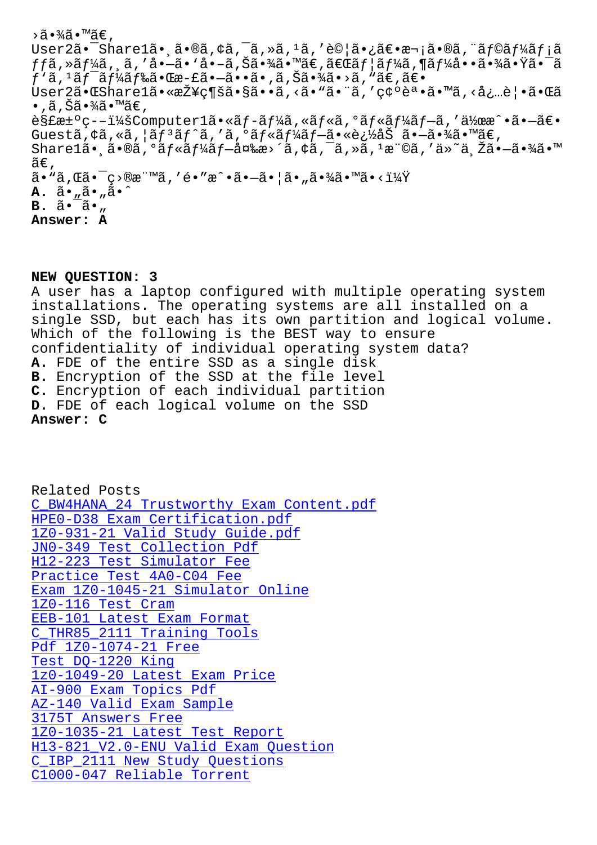```
USELZA• SHALELA•, a•wa, Ya, a, za, -a, E\circia• zat•a-ia•wa, aj\circaj Aaj ia
ffã,»ãf¼ã,¸ã,′å•–ã•'å•–ã,Šã•¾ã•™ã€,「ãf¦ãf¼ã,¶ãf¼å••㕾㕟㕯ã
f'ã, ^1ãf^-ãf^1⁄iãf䋥Œæ-£ã•-ã••ã•,ã, Šã•¾ã•>ã, "ã€,〕
User2㕌Share1㕫接ç¶šã•§ã••ã,<ã• "ã• "ã,'確誕ã• "ã,<必覕㕌ã
\bullet , ã , Šã\bullet¾ã\bullet™ã\in ,
解汰ç–-:Computer1ã•«ãf-ーã,«ãƒ«ã,°ãƒ«ãƒ¼ãƒ–ã,′作æ^•㕖〕
Guestã, ¢ã, «ã, ¦ãf<sup>3</sup>ãf^ã, 'ã, ºãf«ãf¼ãf–㕫追åŠ ã•–ã•¾ã•™ã€,
\texttt{Share}lã•\tilde{\mathsf{a}}, \tilde{\mathsf{a}} /\tilde{\mathsf{a}} / \tilde{\mathsf{a}} / \tilde{\mathsf{a}} / \tilde{\mathsf{a}} / \tilde{\mathsf{a}} / \tilde{\mathsf{a}} / \tilde{\mathsf{a}} / \tilde{\mathsf{a}} / \tilde{\mathsf{a}} / \tilde{\mathsf{a}} / \tilde{\mathsf{a}} / \tilde{\mathsf{a}} / \tilde{\mathsf{a}} / \widetilde{\mathsf{a}}\mathsf{\in} ,
\tilde{a}• "\tilde{a}, \tilde{a}• \tilde{c} • \tilde{c} • "\tilde{a} , \tilde{a} • \tilde{a} • \tilde{a} • \tilde{a} • \tilde{a} • \tilde{a} • \tilde{a} • \tilde{a} • \tilde{a} • \tilde{a} • \tilde{a} • \tilde{a} • \tilde{a} • \tilde{a} • \A. ã•"ã•"ã•^
B. \tilde{a} \cdot \tilde{a} \cdot ...Answer: A
```
**NEW QUESTION: 3** A user has a laptop configured with multiple operating system installations. The operating systems are all installed on a single SSD, but each has its own partition and logical volume. Which of the following is the BEST way to ensure confidentiality of individual operating system data? **A.** FDE of the entire SSD as a single disk **B.** Encryption of the SSD at the file level **C.** Encryption of each individual partition **D.** FDE of each logical volume on the SSD **Answer: C**

Related Posts C\_BW4HANA\_24 Trustworthy Exam Content.pdf HPE0-D38 Exam Certification.pdf 1Z0-931-21 Valid Study Guide.pdf [JN0-349 Test Collection Pdf](http://wdh.namgiang.edu.vn/?docs=C_BW4HANA_24_Trustworthy-Exam-Content.pdf-848405) [H12-223 Test Simulator Fee](http://wdh.namgiang.edu.vn/?docs=HPE0-D38_Exam-Certification.pdf-727373) Practice Test 4A0-C04 Fee [Exam 1Z0-1045-21 Simulator Online](http://wdh.namgiang.edu.vn/?docs=1Z0-931-21_Valid-Study-Guide.pdf-516162) 1Z0-116 Test Cram [EEB-101 Latest Exam Forma](http://wdh.namgiang.edu.vn/?docs=4A0-C04_Practice-Test--Fee-273738)[t](http://wdh.namgiang.edu.vn/?docs=H12-223_Test-Simulator-Fee-383848) [C\\_THR85\\_2111 Training Tools](http://wdh.namgiang.edu.vn/?docs=1Z0-1045-21_Exam--Simulator-Online-384840) [Pdf 1Z0-1074-21 Fr](http://wdh.namgiang.edu.vn/?docs=1Z0-116_Test-Cram-616262)ee Test DQ-1220 King [1z0-1049-20 Latest Exam Pr](http://wdh.namgiang.edu.vn/?docs=EEB-101_Latest-Exam-Format-051516)[ic](http://wdh.namgiang.edu.vn/?docs=C_THR85_2111_Training-Tools-505151)e [AI-900 Exam Topics P](http://wdh.namgiang.edu.vn/?docs=1Z0-1074-21_Pdf--Free-384840)df [AZ-140 Valid Exam](http://wdh.namgiang.edu.vn/?docs=DQ-1220_Test--King-051516) Sample 3175T Answers Free [1Z0-1035-21 Latest Test Report](http://wdh.namgiang.edu.vn/?docs=1z0-1049-20_Latest-Exam-Price-040515) [H13-821\\_V2.0-ENU Valid](http://wdh.namgiang.edu.vn/?docs=AI-900_Exam-Topics-Pdf-838484) Exam Question [C\\_IBP\\_2111 New Study Ques](http://wdh.namgiang.edu.vn/?docs=AZ-140_Valid-Exam-Sample-404051)tions [C1000-047 Reliable Torrent](http://wdh.namgiang.edu.vn/?docs=1Z0-1035-21_Latest-Test-Report-384840)